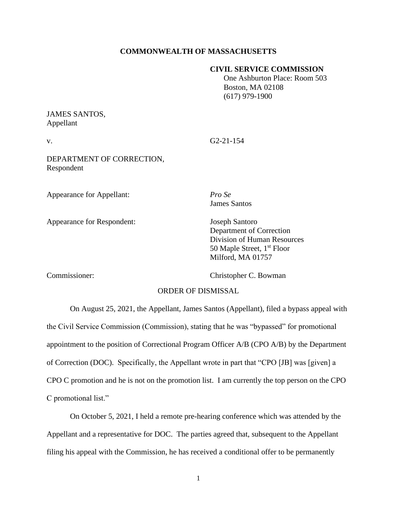## **COMMONWEALTH OF MASSACHUSETTS**

## **CIVIL SERVICE COMMISSION**

 One Ashburton Place: Room 503 Boston, MA 02108 (617) 979-1900

## JAMES SANTOS, Appellant

v. G2-21-154

DEPARTMENT OF CORRECTION, Respondent

Appearance for Appellant: *Pro Se*

Appearance for Respondent: Joseph Santoro

James Santos

Department of Correction Division of Human Resources 50 Maple Street, 1<sup>st</sup> Floor Milford, MA 01757

Commissioner: Christopher C. Bowman

## ORDER OF DISMISSAL

On August 25, 2021, the Appellant, James Santos (Appellant), filed a bypass appeal with the Civil Service Commission (Commission), stating that he was "bypassed" for promotional appointment to the position of Correctional Program Officer A/B (CPO A/B) by the Department of Correction (DOC). Specifically, the Appellant wrote in part that "CPO [JB] was [given] a CPO C promotion and he is not on the promotion list. I am currently the top person on the CPO C promotional list."

On October 5, 2021, I held a remote pre-hearing conference which was attended by the Appellant and a representative for DOC. The parties agreed that, subsequent to the Appellant filing his appeal with the Commission, he has received a conditional offer to be permanently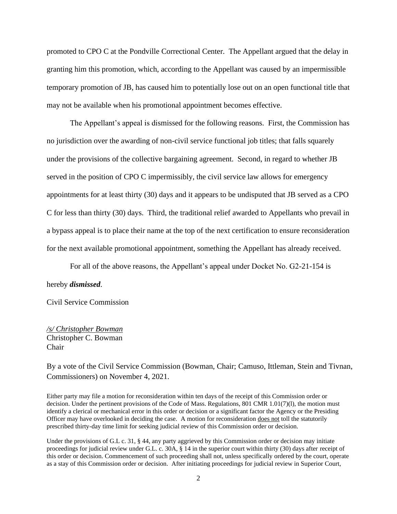promoted to CPO C at the Pondville Correctional Center. The Appellant argued that the delay in granting him this promotion, which, according to the Appellant was caused by an impermissible temporary promotion of JB, has caused him to potentially lose out on an open functional title that may not be available when his promotional appointment becomes effective.

The Appellant's appeal is dismissed for the following reasons. First, the Commission has no jurisdiction over the awarding of non-civil service functional job titles; that falls squarely under the provisions of the collective bargaining agreement. Second, in regard to whether JB served in the position of CPO C impermissibly, the civil service law allows for emergency appointments for at least thirty (30) days and it appears to be undisputed that JB served as a CPO C for less than thirty (30) days. Third, the traditional relief awarded to Appellants who prevail in a bypass appeal is to place their name at the top of the next certification to ensure reconsideration for the next available promotional appointment, something the Appellant has already received.

For all of the above reasons, the Appellant's appeal under Docket No. G2-21-154 is

hereby *dismissed*.

Civil Service Commission

*/s/ Christopher Bowman* Christopher C. Bowman Chair

By a vote of the Civil Service Commission (Bowman, Chair; Camuso, Ittleman, Stein and Tivnan, Commissioners) on November 4, 2021.

Either party may file a motion for reconsideration within ten days of the receipt of this Commission order or decision. Under the pertinent provisions of the Code of Mass. Regulations, 801 CMR 1.01(7)(l), the motion must identify a clerical or mechanical error in this order or decision or a significant factor the Agency or the Presiding Officer may have overlooked in deciding the case. A motion for reconsideration does not toll the statutorily prescribed thirty-day time limit for seeking judicial review of this Commission order or decision.

Under the provisions of G.L c. 31, § 44, any party aggrieved by this Commission order or decision may initiate proceedings for judicial review under G.L. c. 30A, § 14 in the superior court within thirty (30) days after receipt of this order or decision. Commencement of such proceeding shall not, unless specifically ordered by the court, operate as a stay of this Commission order or decision. After initiating proceedings for judicial review in Superior Court,